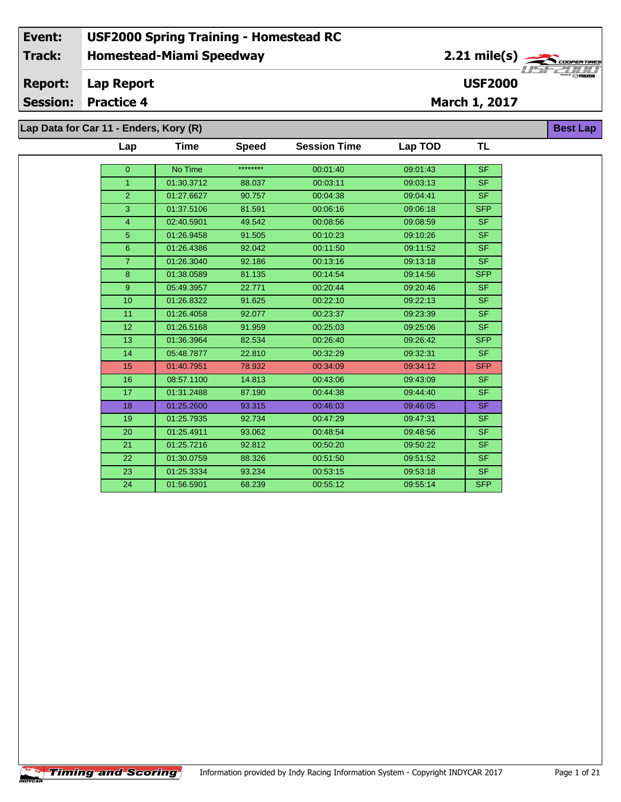# **Homestead-Miami Speedway Lap Report Event: USF2000 Spring Training - Homestead RC Track: Report: USF2000**

**Session: Practice 4**

**Lap Data for Car 11 - Enders, Kory (R)**

| Lap            | Time       | <b>Speed</b> | <b>Session Time</b> | Lap TOD  | TL         |
|----------------|------------|--------------|---------------------|----------|------------|
| $\overline{0}$ | No Time    | ********     | 00:01:40            | 09:01:43 | <b>SF</b>  |
| $\mathbf{1}$   | 01:30.3712 | 88.037       | 00:03:11            | 09:03:13 | SF.        |
| $\overline{2}$ | 01:27.6627 | 90.757       | 00:04:38            | 09:04:41 | <b>SF</b>  |
| 3              | 01:37.5106 | 81.591       | 00:06:16            | 09:06:18 | <b>SFP</b> |
| $\overline{4}$ | 02:40.5901 | 49.542       | 00:08:56            | 09:08:59 | SF.        |
| $\overline{5}$ | 01:26.9458 | 91.505       | 00:10:23            | 09:10:26 | <b>SF</b>  |
| $6\phantom{a}$ | 01:26.4386 | 92.042       | 00:11:50            | 09:11:52 | <b>SF</b>  |
| $\overline{7}$ |            |              |                     |          |            |
|                | 01:26.3040 | 92.186       | 00:13:16            | 09:13:18 | SF.        |
| 8              | 01:38.0589 | 81.135       | 00:14:54            | 09:14:56 | <b>SFP</b> |
| 9 <sup>°</sup> | 05:49.3957 | 22.771       | 00:20:44            | 09:20:46 | <b>SF</b>  |
| 10             | 01:26.8322 | 91.625       | 00:22:10            | 09:22:13 | <b>SF</b>  |
| 11             | 01:26.4058 | 92.077       | 00:23:37            | 09:23:39 | <b>SF</b>  |
| 12             | 01:26.5168 | 91.959       | 00:25:03            | 09:25:06 | <b>SF</b>  |
| 13             | 01:36.3964 | 82.534       | 00:26:40            | 09:26:42 | <b>SFP</b> |
| 14             | 05:48.7877 | 22.810       | 00:32:29            | 09:32:31 | <b>SF</b>  |
| 15             | 01:40.7951 | 78.932       | 00:34:09            | 09:34:12 | <b>SFP</b> |
| 16             | 08:57.1100 | 14.813       | 00:43:06            | 09:43:09 | SF.        |
| 17             | 01:31.2488 | 87.190       | 00:44:38            | 09:44:40 | <b>SF</b>  |
| 18             | 01:25.2600 | 93.315       | 00:46:03            | 09:46:05 | <b>SF</b>  |
| 19             | 01:25.7935 | 92.734       | 00:47:29            | 09:47:31 | <b>SF</b>  |
| 20             | 01:25.4911 | 93.062       | 00:48:54            | 09:48:56 | <b>SF</b>  |
| 21             | 01:25.7216 | 92.812       | 00:50:20            | 09:50:22 | <b>SF</b>  |
| 22             | 01:30.0759 | 88.326       | 00:51:50            | 09:51:52 | <b>SF</b>  |
| 23             | 01:25.3334 | 93.234       | 00:53:15            | 09:53:18 | <b>SF</b>  |
| 24             | 01:56.5901 | 68.239       | 00:55:12            | 09:55:14 | <b>SFP</b> |
|                |            |              |                     |          |            |





**Best Lap**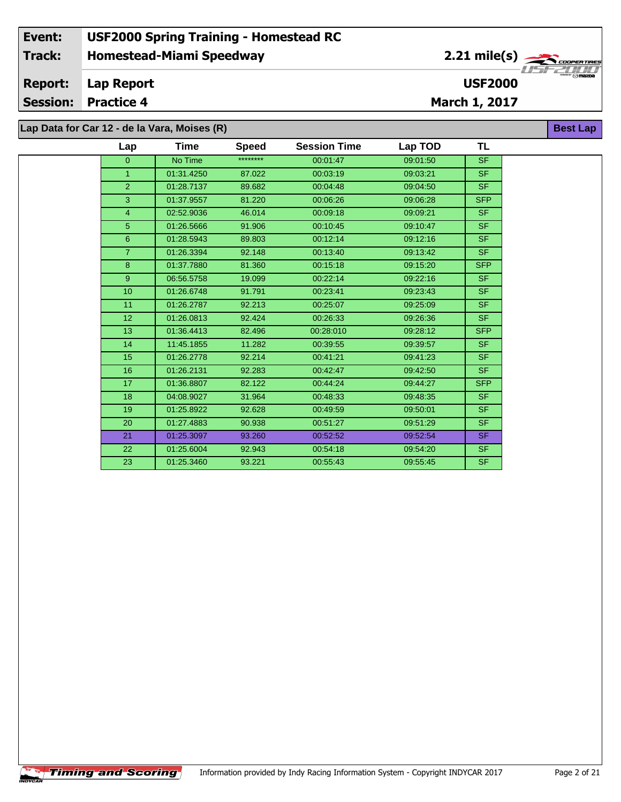### **Homestead-Miami Speedway Lap Report March 1, 2017 Event: USF2000 Spring Training - Homestead RC Track: Report: Session: Practice 4 USF2000** 2.21 mile(s) **Best Lap Lap Data for Car 12 - de la Vara, Moises (R)**

 01:26.2787 92.213 00:25:07 09:25:09 SF 01:26.0813 92.424 00:26:33 09:26:36 SF 01:36.4413 82.496 00:28:010 09:28:12 SFP 14 11:45.1855 11.282 00:39:55 09:39:57 | SF 01:26.2778 92.214 00:41:21 09:41:23 SF 01:26.2131 92.283 00:42:47 09:42:50 SF 01:36.8807 82.122 00:44:24 09:44:27 SFP 04:08.9027 31.964 00:48:33 09:48:35 SF 01:25.8922 92.628 00:49:59 09:50:01 SF 01:27.4883 90.938 00:51:27 09:51:29 SF 01:25.3097 93.260 00:52:52 09:52:54 SF 01:25.6004 92.943 00:54:18 09:54:20 SF 01:25.3460 93.221 00:55:43 09:55:45 SF

| TL<br>Time<br><b>Session Time</b><br>Lap TOD<br><b>Speed</b><br>Lap<br>********<br><b>SF</b><br>No Time<br>09:01:50<br>00:01:47<br>$\mathbf{0}$<br><b>SF</b><br>01:31.4250<br>87.022<br>00:03:19<br>09:03:21<br>1.<br>SF.<br>$\overline{2}$<br>01:28.7137<br>89.682<br>00:04:48<br>09:04:50<br><b>SFP</b><br>3<br>01:37.9557<br>00:06:26<br>09:06:28<br>81.220<br>SF.<br>02:52.9036<br>00:09:18<br>46.014<br>09:09:21<br>4<br>SF.<br>5<br>01:26.5666<br>91.906<br>00:10:45<br>09:10:47<br>SF.<br>6<br>01:28.5943<br>89.803<br>00:12:14<br>09:12:16<br>SF.<br>01:26.3394<br>92.148<br>00:13:40<br>09:13:42<br><b>SFP</b><br>01:37.7880<br>8<br>81.360<br>00:15:18<br>09:15:20<br>SF.<br>9<br>06:56.5758<br>19.099<br>00:22:14<br>09:22:16<br>SF.<br>10 <sup>°</sup><br>01:26.6748<br>91.791<br>00:23:41<br>09:23:43 |  |  |  |  |
|--------------------------------------------------------------------------------------------------------------------------------------------------------------------------------------------------------------------------------------------------------------------------------------------------------------------------------------------------------------------------------------------------------------------------------------------------------------------------------------------------------------------------------------------------------------------------------------------------------------------------------------------------------------------------------------------------------------------------------------------------------------------------------------------------------------------|--|--|--|--|
|                                                                                                                                                                                                                                                                                                                                                                                                                                                                                                                                                                                                                                                                                                                                                                                                                    |  |  |  |  |
|                                                                                                                                                                                                                                                                                                                                                                                                                                                                                                                                                                                                                                                                                                                                                                                                                    |  |  |  |  |
|                                                                                                                                                                                                                                                                                                                                                                                                                                                                                                                                                                                                                                                                                                                                                                                                                    |  |  |  |  |
|                                                                                                                                                                                                                                                                                                                                                                                                                                                                                                                                                                                                                                                                                                                                                                                                                    |  |  |  |  |
|                                                                                                                                                                                                                                                                                                                                                                                                                                                                                                                                                                                                                                                                                                                                                                                                                    |  |  |  |  |
|                                                                                                                                                                                                                                                                                                                                                                                                                                                                                                                                                                                                                                                                                                                                                                                                                    |  |  |  |  |
|                                                                                                                                                                                                                                                                                                                                                                                                                                                                                                                                                                                                                                                                                                                                                                                                                    |  |  |  |  |
|                                                                                                                                                                                                                                                                                                                                                                                                                                                                                                                                                                                                                                                                                                                                                                                                                    |  |  |  |  |
|                                                                                                                                                                                                                                                                                                                                                                                                                                                                                                                                                                                                                                                                                                                                                                                                                    |  |  |  |  |
|                                                                                                                                                                                                                                                                                                                                                                                                                                                                                                                                                                                                                                                                                                                                                                                                                    |  |  |  |  |
|                                                                                                                                                                                                                                                                                                                                                                                                                                                                                                                                                                                                                                                                                                                                                                                                                    |  |  |  |  |
|                                                                                                                                                                                                                                                                                                                                                                                                                                                                                                                                                                                                                                                                                                                                                                                                                    |  |  |  |  |

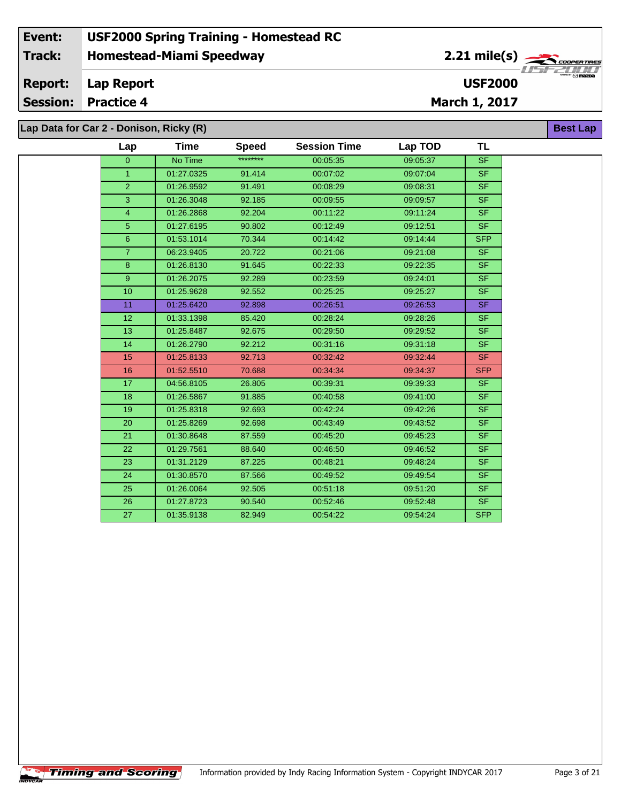#### **Event: USF2000 Spring Training - Homestead RC 2.21 mile(s) Track: Homestead-Miami Speedway** .<br>COOPERTIRE **Report: Lap Report USF2000 Session: Practice 4 March 1, 2017 Lap Data for Car 2 - Donison, Ricky (R) Best Lap**

|  | Lap             | Time       | <b>Speed</b> | <b>Session Time</b> | Lap TOD  | <b>TL</b>  |  |  |  |
|--|-----------------|------------|--------------|---------------------|----------|------------|--|--|--|
|  | $\overline{0}$  | No Time    | ********     | 00:05:35            | 09:05:37 | <b>SF</b>  |  |  |  |
|  | $\mathbf{1}$    | 01:27.0325 | 91.414       | 00:07:02            | 09:07:04 | <b>SF</b>  |  |  |  |
|  | $\overline{2}$  | 01:26.9592 | 91.491       | 00:08:29            | 09:08:31 | <b>SF</b>  |  |  |  |
|  | 3               | 01:26.3048 | 92.185       | 00:09:55            | 09:09:57 | <b>SF</b>  |  |  |  |
|  | 4               | 01:26.2868 | 92.204       | 00:11:22            | 09:11:24 | <b>SF</b>  |  |  |  |
|  | 5               | 01:27.6195 | 90.802       | 00:12:49            | 09:12:51 | <b>SF</b>  |  |  |  |
|  | 6               | 01:53.1014 | 70.344       | 00:14:42            | 09:14:44 | <b>SFP</b> |  |  |  |
|  | $\overline{7}$  | 06:23.9405 | 20.722       | 00:21:06            | 09:21:08 | SF         |  |  |  |
|  | 8               | 01:26.8130 | 91.645       | 00:22:33            | 09:22:35 | SF.        |  |  |  |
|  | 9               | 01:26.2075 | 92.289       | 00:23:59            | 09:24:01 | <b>SF</b>  |  |  |  |
|  | 10 <sup>1</sup> | 01:25.9628 | 92.552       | 00:25:25            | 09:25:27 | SF.        |  |  |  |
|  | 11              | 01:25.6420 | 92.898       | 00:26:51            | 09:26:53 | SF         |  |  |  |
|  | 12 <sub>2</sub> | 01:33.1398 | 85.420       | 00:28:24            | 09:28:26 | <b>SF</b>  |  |  |  |
|  | 13              | 01:25.8487 | 92.675       | 00:29:50            | 09:29:52 | <b>SF</b>  |  |  |  |
|  | 14              | 01:26.2790 | 92.212       | 00:31:16            | 09:31:18 | <b>SF</b>  |  |  |  |
|  | 15              | 01:25.8133 | 92.713       | 00:32:42            | 09:32:44 | <b>SF</b>  |  |  |  |
|  | 16              | 01:52.5510 | 70.688       | 00:34:34            | 09:34:37 | <b>SFP</b> |  |  |  |
|  | 17              | 04:56.8105 | 26.805       | 00:39:31            | 09:39:33 | SF.        |  |  |  |
|  | 18              | 01:26.5867 | 91.885       | 00:40:58            | 09:41:00 | <b>SF</b>  |  |  |  |
|  | 19              | 01:25.8318 | 92.693       | 00:42:24            | 09:42:26 | SF.        |  |  |  |
|  | 20              | 01:25.8269 | 92.698       | 00:43:49            | 09:43:52 | <b>SF</b>  |  |  |  |
|  | 21              | 01:30.8648 | 87.559       | 00:45:20            | 09:45:23 | <b>SF</b>  |  |  |  |
|  | 22              | 01:29.7561 | 88.640       | 00:46:50            | 09:46:52 | <b>SF</b>  |  |  |  |
|  | 23              | 01:31.2129 | 87.225       | 00:48:21            | 09:48:24 | <b>SF</b>  |  |  |  |
|  | 24              | 01:30.8570 | 87.566       | 00:49:52            | 09:49:54 | SF.        |  |  |  |
|  | 25              | 01:26.0064 | 92.505       | 00:51:18            | 09:51:20 | SF.        |  |  |  |
|  | 26              | 01:27.8723 | 90.540       | 00:52:46            | 09:52:48 | <b>SF</b>  |  |  |  |
|  | 27              | 01:35.9138 | 82.949       | 00:54:22            | 09:54:24 | <b>SFP</b> |  |  |  |
|  |                 |            |              |                     |          |            |  |  |  |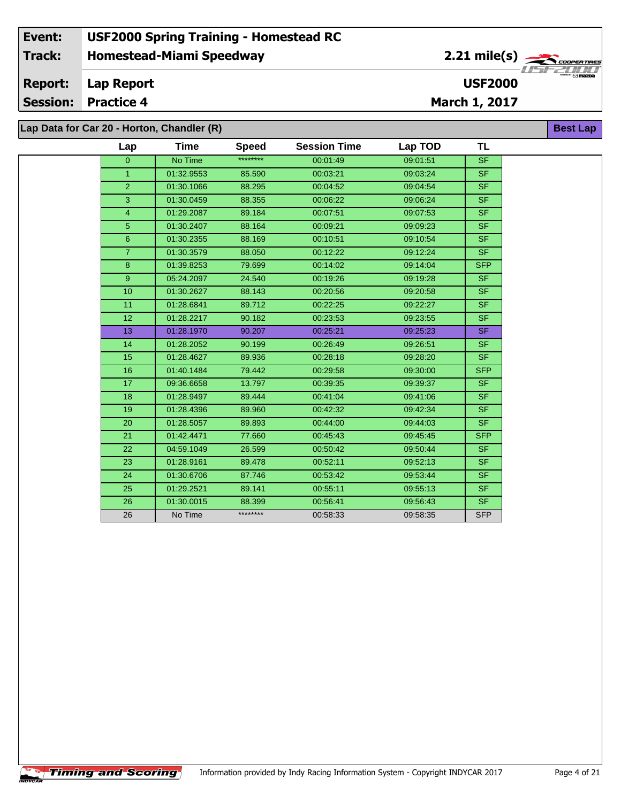#### **Event: USF2000 Spring Training - Homestead RC 2.21 mile(s) Track: Homestead-Miami Speedway** COOPER TIR *CODPER TIRE*<br> $\frac{1}{2}$  / 1 / 1 / 1<br>Omazoa **Report: Lap Report USF2000 Session: Practice 4 March 1, 2017 Best Lap**

**Lap Data for Car 20 - Horton, Chandler (R)**

 $\sqrt{\textbf{T}}$ iming and Scoring $\sqrt{\textbf{S}}$ 

|              | Lap            | Time       | <b>Speed</b> | <b>Session Time</b> | Lap TOD  | TL         |
|--------------|----------------|------------|--------------|---------------------|----------|------------|
|              | $\overline{0}$ | No Time    | ********     | 00:01:49            | 09:01:51 | <b>SF</b>  |
| $\mathbf{1}$ |                | 01:32.9553 | 85.590       | 00:03:21            | 09:03:24 | <b>SF</b>  |
|              | $\overline{2}$ | 01:30.1066 | 88.295       | 00:04:52            | 09:04:54 | <b>SF</b>  |
|              | 3              | 01:30.0459 | 88.355       | 00:06:22            | 09:06:24 | <b>SF</b>  |
|              | $\overline{4}$ | 01:29.2087 | 89.184       | 00:07:51            | 09:07:53 | <b>SF</b>  |
|              | 5 <sup>5</sup> | 01:30.2407 | 88.164       | 00:09:21            | 09:09:23 | SF.        |
|              | $\overline{6}$ | 01:30.2355 | 88.169       | 00:10:51            | 09:10:54 | <b>SF</b>  |
|              | $\overline{7}$ | 01:30.3579 | 88.050       | 00:12:22            | 09:12:24 | SF.        |
| $\bf 8$      |                | 01:39.8253 | 79.699       | 00:14:02            | 09:14:04 | <b>SFP</b> |
|              | 9              | 05:24.2097 | 24.540       | 00:19:26            | 09:19:28 | SF.        |
| 10           |                | 01:30.2627 | 88.143       | 00:20:56            | 09:20:58 | <b>SF</b>  |
| 11           |                | 01:28.6841 | 89.712       | 00:22:25            | 09:22:27 | <b>SF</b>  |
| 12           |                | 01:28.2217 | 90.182       | 00:23:53            | 09:23:55 | <b>SF</b>  |
| 13           |                | 01:28.1970 | 90.207       | 00:25:21            | 09:25:23 | <b>SF</b>  |
| 14           |                | 01:28.2052 | 90.199       | 00:26:49            | 09:26:51 | <b>SF</b>  |
| 15           |                | 01:28.4627 | 89.936       | 00:28:18            | 09:28:20 | SF.        |
| 16           |                | 01:40.1484 | 79.442       | 00:29:58            | 09:30:00 | <b>SFP</b> |
| 17           |                | 09:36.6658 | 13.797       | 00:39:35            | 09:39:37 | SF.        |
| 18           |                | 01:28.9497 | 89.444       | 00:41:04            | 09:41:06 | <b>SF</b>  |
| 19           |                | 01:28.4396 | 89.960       | 00:42:32            | 09:42:34 | <b>SF</b>  |
| 20           |                | 01:28.5057 | 89.893       | 00:44:00            | 09:44:03 | <b>SF</b>  |
| 21           |                | 01:42.4471 | 77.660       | 00:45:43            | 09:45:45 | <b>SFP</b> |
| 22           |                | 04:59.1049 | 26.599       | 00:50:42            | 09:50:44 | <b>SF</b>  |
| 23           |                | 01:28.9161 | 89.478       | 00:52:11            | 09:52:13 | SF.        |
| 24           |                | 01:30.6706 | 87.746       | 00:53:42            | 09:53:44 | SF.        |
| 25           |                | 01:29.2521 | 89.141       | 00:55:11            | 09:55:13 | <b>SF</b>  |
| 26           |                | 01:30.0015 | 88.399       | 00:56:41            | 09:56:43 | <b>SF</b>  |
| 26           |                | No Time    | ********     | 00:58:33            | 09:58:35 | <b>SFP</b> |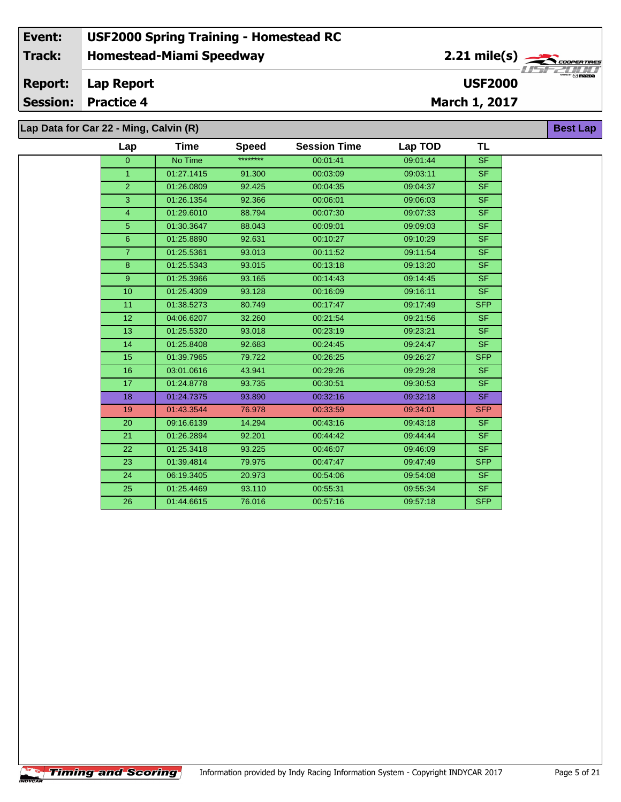**Lap Data for Car 22 - Ming, Calvin (R)**

 $\sqrt{\textbf{T}}$ iming and Scoring $\sqrt{\textbf{S}}$ 

| Lap            | Time       | <b>Speed</b> | <b>Session Time</b> | Lap TOD  | <b>TL</b>  |
|----------------|------------|--------------|---------------------|----------|------------|
| $\overline{0}$ | No Time    | ********     | 00:01:41            | 09:01:44 | SF         |
| $\mathbf{1}$   | 01:27.1415 | 91.300       | 00:03:09            | 09:03:11 | <b>SF</b>  |
| $\overline{2}$ | 01:26.0809 | 92.425       | 00:04:35            | 09:04:37 | <b>SF</b>  |
| 3              | 01:26.1354 | 92.366       | 00:06:01            | 09:06:03 | <b>SF</b>  |
| $\overline{4}$ | 01:29.6010 | 88.794       | 00:07:30            | 09:07:33 | SF.        |
| 5              | 01:30.3647 | 88.043       | 00:09:01            | 09:09:03 | <b>SF</b>  |
| 6              | 01:25.8890 | 92.631       | 00:10:27            | 09:10:29 | <b>SF</b>  |
| $\overline{7}$ | 01:25.5361 | 93.013       | 00:11:52            | 09:11:54 | <b>SF</b>  |
| 8              | 01:25.5343 | 93.015       | 00:13:18            | 09:13:20 | <b>SF</b>  |
| 9              | 01:25.3966 | 93.165       | 00:14:43            | 09:14:45 | SF.        |
| 10             | 01:25.4309 | 93.128       | 00:16:09            | 09:16:11 | <b>SF</b>  |
| 11             | 01:38.5273 | 80.749       | 00:17:47            | 09:17:49 | <b>SFP</b> |
| 12             | 04:06.6207 | 32.260       | 00:21:54            | 09:21:56 | <b>SF</b>  |
| 13             | 01:25.5320 | 93.018       | 00:23:19            | 09:23:21 | <b>SF</b>  |
| 14             | 01:25.8408 | 92.683       | 00:24:45            | 09:24:47 | SF.        |
| 15             | 01:39.7965 | 79.722       | 00:26:25            | 09:26:27 | <b>SFP</b> |
| 16             | 03:01.0616 | 43.941       | 00:29:26            | 09:29:28 | <b>SF</b>  |
| 17             | 01:24.8778 | 93.735       | 00:30:51            | 09:30:53 | SF.        |
| 18             | 01:24.7375 | 93.890       | 00:32:16            | 09:32:18 | SF.        |
| 19             | 01:43.3544 | 76.978       | 00:33:59            | 09:34:01 | <b>SFP</b> |
| 20             | 09:16.6139 | 14.294       | 00:43:16            | 09:43:18 | SF.        |
| 21             | 01:26.2894 | 92.201       | 00:44:42            | 09:44:44 | SF.        |
| 22             | 01:25.3418 | 93.225       | 00:46:07            | 09:46:09 | SF.        |
| 23             | 01:39.4814 | 79.975       | 00:47:47            | 09:47:49 | <b>SFP</b> |
| 24             | 06:19.3405 | 20.973       | 00:54:06            | 09:54:08 | SF.        |
| 25             | 01:25.4469 | 93.110       | 00:55:31            | 09:55:34 | <b>SF</b>  |
| 26             | 01:44.6615 | 76.016       | 00:57:16            | 09:57:18 | <b>SFP</b> |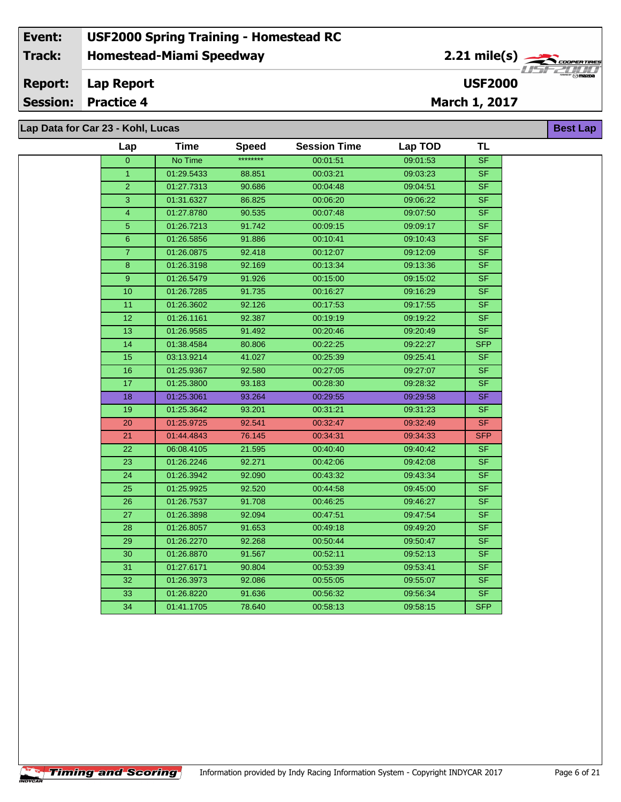#### **Event: USF2000 Spring Training - Homestead RC 2.21 mile(s) Track: Homestead-Miami Speedway COOPERTIRE Report: Lap Report USF2000 Session: Practice 4 March 1, 2017 Lap Data for Car 23 - Kohl, Lucas Best Lap**

| Lap                     | Time       | <b>Speed</b> | <b>Session Time</b> | Lap TOD  | TL                       |
|-------------------------|------------|--------------|---------------------|----------|--------------------------|
| $\overline{0}$          | No Time    | ********     | 00:01:51            | 09:01:53 | <b>SF</b>                |
| $\mathbf{1}$            | 01:29.5433 | 88.851       | 00:03:21            | 09:03:23 | <b>SF</b>                |
| $\overline{2}$          | 01:27.7313 | 90.686       | 00:04:48            | 09:04:51 | <b>SF</b>                |
| 3                       | 01:31.6327 | 86.825       | 00:06:20            | 09:06:22 | <b>SF</b>                |
| $\overline{\mathbf{4}}$ | 01:27.8780 | 90.535       | 00:07:48            | 09:07:50 | <b>SF</b>                |
| $\overline{5}$          | 01:26.7213 | 91.742       | 00:09:15            | 09:09:17 | <b>SF</b>                |
| $\boldsymbol{6}$        | 01:26.5856 | 91.886       | 00:10:41            | 09:10:43 | SF                       |
| $\overline{7}$          | 01:26.0875 | 92.418       | 00:12:07            | 09:12:09 | $\overline{\mathsf{SF}}$ |
| 8                       | 01:26.3198 | 92.169       | 00:13:34            | 09:13:36 | <b>SF</b>                |
| $\overline{9}$          | 01:26.5479 | 91.926       | 00:15:00            | 09:15:02 | $\overline{\mathsf{SF}}$ |
| 10                      | 01:26.7285 | 91.735       | 00:16:27            | 09:16:29 | <b>SF</b>                |
| 11                      | 01:26.3602 | 92.126       | 00:17:53            | 09:17:55 | $\overline{\mathsf{SF}}$ |
| 12                      | 01:26.1161 | 92.387       | 00:19:19            | 09:19:22 | S <sub>F</sub>           |
| $\overline{13}$         | 01:26.9585 | 91.492       | 00:20:46            | 09:20:49 | $\overline{\mathsf{SF}}$ |
| 14                      | 01:38.4584 | 80.806       | 00:22:25            | 09:22:27 | <b>SFP</b>               |
| 15                      | 03:13.9214 | 41.027       | 00:25:39            | 09:25:41 | <b>SF</b>                |
| 16                      | 01:25.9367 | 92.580       | 00:27:05            | 09:27:07 | <b>SF</b>                |
| 17                      | 01:25.3800 | 93.183       | 00:28:30            | 09:28:32 | S <sub>F</sub>           |
| 18                      | 01:25.3061 | 93.264       | 00:29:55            | 09:29:58 | <b>SF</b>                |
| 19                      | 01:25.3642 | 93.201       | 00:31:21            | 09:31:23 | $S_{F}$                  |
| 20                      | 01:25.9725 | 92.541       | 00:32:47            | 09:32:49 | <b>SF</b>                |
| 21                      | 01:44.4843 | 76.145       | 00:34:31            | 09:34:33 | <b>SFP</b>               |
| 22                      | 06:08.4105 | 21.595       | 00:40:40            | 09:40:42 | <b>SF</b>                |
| 23                      | 01:26.2246 | 92.271       | 00:42:06            | 09:42:08 | <b>SF</b>                |
| 24                      | 01:26.3942 | 92.090       | 00:43:32            | 09:43:34 | <b>SF</b>                |
| 25                      | 01:25.9925 | 92.520       | 00:44:58            | 09:45:00 | $\overline{\mathsf{SF}}$ |
| 26                      | 01:26.7537 | 91.708       | 00:46:25            | 09:46:27 | <b>SF</b>                |
| 27                      | 01:26.3898 | 92.094       | 00:47:51            | 09:47:54 | $\overline{\mathsf{SF}}$ |
| 28                      | 01:26.8057 | 91.653       | 00:49:18            | 09:49:20 | <b>SF</b>                |
| 29                      | 01:26.2270 | 92.268       | 00:50:44            | 09:50:47 | $S$ F                    |
| $30\,$                  | 01:26.8870 | 91.567       | 00:52:11            | 09:52:13 | SF                       |
| 31                      | 01:27.6171 | 90.804       | 00:53:39            | 09:53:41 | $\overline{\mathsf{SF}}$ |
| 32                      | 01:26.3973 | 92.086       | 00:55:05            | 09:55:07 | $\overline{\mathsf{SF}}$ |
| 33                      | 01:26.8220 | 91.636       | 00:56:32            | 09:56:34 | SF                       |
| 34                      | 01:41.1705 | 78.640       | 00:58:13            | 09:58:15 | <b>SFP</b>               |
|                         |            |              |                     |          |                          |

**Timing and Scoring**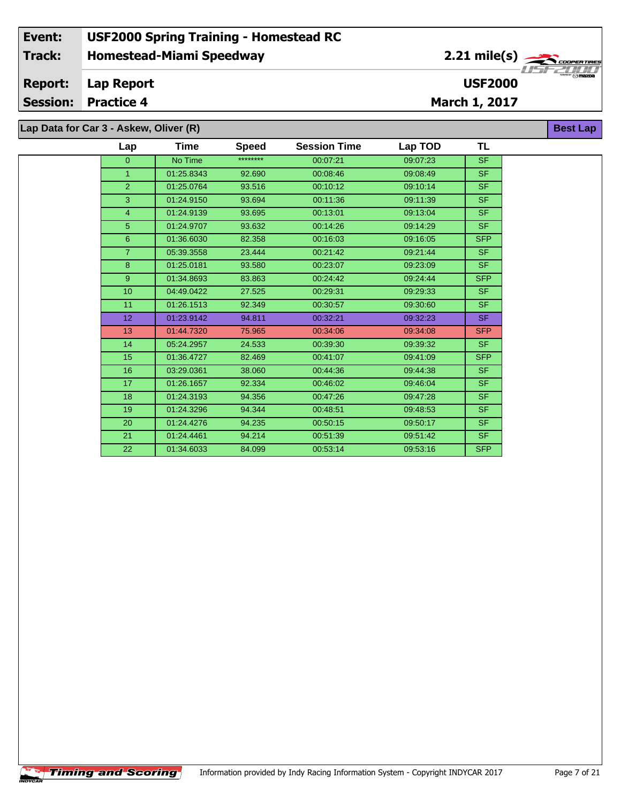**Lap Data for Car 3 - Askew, Oliver (R)**

| Lap            | Time       | <b>Speed</b> | <b>Session Time</b> | Lap TOD  | TL         |
|----------------|------------|--------------|---------------------|----------|------------|
| $\Omega$       | No Time    | ********     | 00:07:21            | 09:07:23 | <b>SF</b>  |
| $\mathbf{1}$   | 01:25.8343 | 92.690       | 00:08:46            | 09:08:49 | SF.        |
| $\overline{2}$ | 01:25.0764 | 93.516       | 00:10:12            | 09:10:14 | <b>SF</b>  |
| 3              | 01:24.9150 | 93.694       | 00:11:36            | 09:11:39 | <b>SF</b>  |
| $\overline{4}$ | 01:24.9139 | 93.695       | 00:13:01            | 09:13:04 | <b>SF</b>  |
| 5              | 01:24.9707 | 93.632       | 00:14:26            | 09:14:29 | <b>SF</b>  |
| 6              | 01:36.6030 | 82.358       | 00:16:03            | 09:16:05 | <b>SFP</b> |
| $\overline{7}$ | 05:39.3558 | 23.444       | 00:21:42            | 09:21:44 | <b>SF</b>  |
| 8              | 01:25.0181 | 93.580       | 00:23:07            | 09:23:09 | <b>SF</b>  |
| $\overline{9}$ | 01:34.8693 | 83.863       | 00:24:42            | 09:24:44 | <b>SFP</b> |
| 10             | 04:49.0422 | 27.525       | 00:29:31            | 09:29:33 | <b>SF</b>  |
| 11             | 01:26.1513 | 92.349       | 00:30:57            | 09:30:60 | <b>SF</b>  |
| 12             | 01:23.9142 | 94.811       | 00:32:21            | 09:32:23 | SF.        |
| 13             | 01:44.7320 | 75.965       | 00:34:06            | 09:34:08 | <b>SFP</b> |
| 14             | 05:24.2957 | 24.533       | 00:39:30            | 09:39:32 | <b>SF</b>  |
| 15             | 01:36.4727 | 82.469       | 00:41:07            | 09:41:09 | <b>SFP</b> |
| 16             | 03:29.0361 | 38.060       | 00:44:36            | 09:44:38 | <b>SF</b>  |
| 17             | 01:26.1657 | 92.334       | 00:46:02            | 09:46:04 | <b>SF</b>  |
| 18             | 01:24.3193 | 94.356       | 00:47:26            | 09:47:28 | <b>SF</b>  |
| 19             | 01:24.3296 | 94.344       | 00:48:51            | 09:48:53 | <b>SF</b>  |
| 20             | 01:24.4276 | 94.235       | 00:50:15            | 09:50:17 | <b>SF</b>  |
| 21             | 01:24.4461 | 94.214       | 00:51:39            | 09:51:42 | SF.        |
| 22             | 01:34.6033 | 84.099       | 00:53:14            | 09:53:16 | <b>SFP</b> |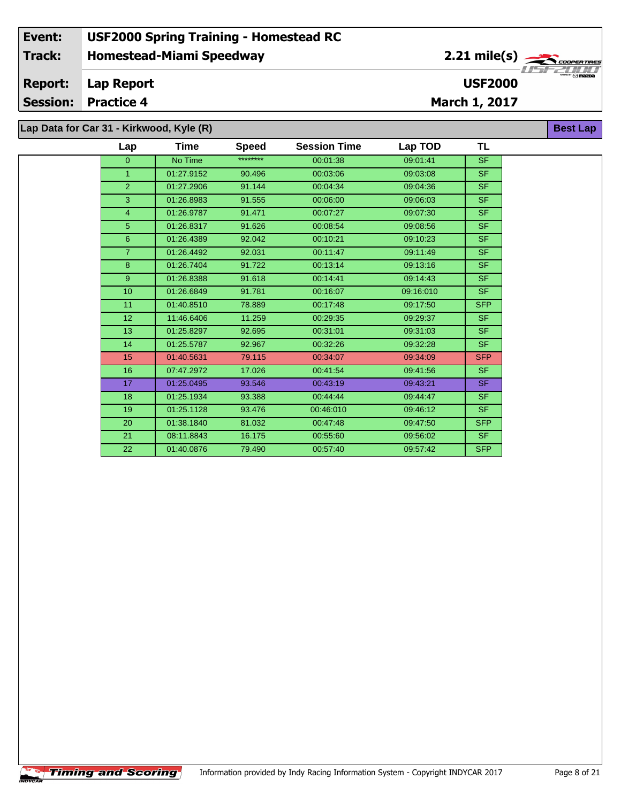|  |  |  |  |  |  | Lap Data for Car 31 - Kirkwood, Kyle (R) |  |  |
|--|--|--|--|--|--|------------------------------------------|--|--|
|--|--|--|--|--|--|------------------------------------------|--|--|

| Lap            | Time       | <b>Speed</b> | <b>Session Time</b> | Lap TOD   | <b>TL</b>  |
|----------------|------------|--------------|---------------------|-----------|------------|
| $\overline{0}$ | No Time    | ********     | 00:01:38            | 09:01:41  | <b>SF</b>  |
| $\mathbf{1}$   | 01:27.9152 | 90.496       | 00:03:06            | 09:03:08  | SF.        |
| $\overline{2}$ | 01:27.2906 | 91.144       | 00:04:34            | 09:04:36  | SF.        |
| 3              | 01:26.8983 | 91.555       | 00:06:00            | 09:06:03  | SF.        |
| $\overline{4}$ | 01:26.9787 | 91.471       | 00:07:27            | 09:07:30  | SF.        |
| 5              | 01:26.8317 | 91.626       | 00:08:54            | 09:08:56  | SF.        |
| 6              | 01:26.4389 | 92.042       | 00:10:21            | 09:10:23  | SF.        |
| $\overline{7}$ | 01:26.4492 | 92.031       | 00:11:47            | 09:11:49  | <b>SF</b>  |
| 8              | 01:26.7404 | 91.722       | 00:13:14            | 09:13:16  | SF.        |
| 9              | 01:26.8388 | 91.618       | 00:14:41            | 09:14:43  | <b>SF</b>  |
| 10             | 01:26.6849 | 91.781       | 00:16:07            | 09:16:010 | SF.        |
| 11             | 01:40.8510 | 78.889       | 00:17:48            | 09:17:50  | <b>SFP</b> |
| 12             | 11:46.6406 | 11.259       | 00:29:35            | 09:29:37  | SF.        |
| 13             | 01:25.8297 | 92.695       | 00:31:01            | 09:31:03  | SF.        |
| 14             | 01:25.5787 | 92.967       | 00:32:26            | 09:32:28  | SF.        |
| 15             | 01:40.5631 | 79.115       | 00:34:07            | 09:34:09  | <b>SFP</b> |
| 16             | 07:47.2972 | 17.026       | 00:41:54            | 09:41:56  | SF.        |
| 17             | 01:25.0495 | 93.546       | 00:43:19            | 09:43:21  | SF.        |
| 18             | 01:25.1934 | 93.388       | 00:44:44            | 09:44:47  | SF.        |
| 19             | 01:25.1128 | 93.476       | 00:46:010           | 09:46:12  | SF.        |
| 20             | 01:38.1840 | 81.032       | 00:47:48            | 09:47:50  | <b>SFP</b> |
| 21             | 08:11.8843 | 16.175       | 00:55:60            | 09:56:02  | <b>SF</b>  |
| 22             | 01:40.0876 | 79.490       | 00:57:40            | 09:57:42  | SFP        |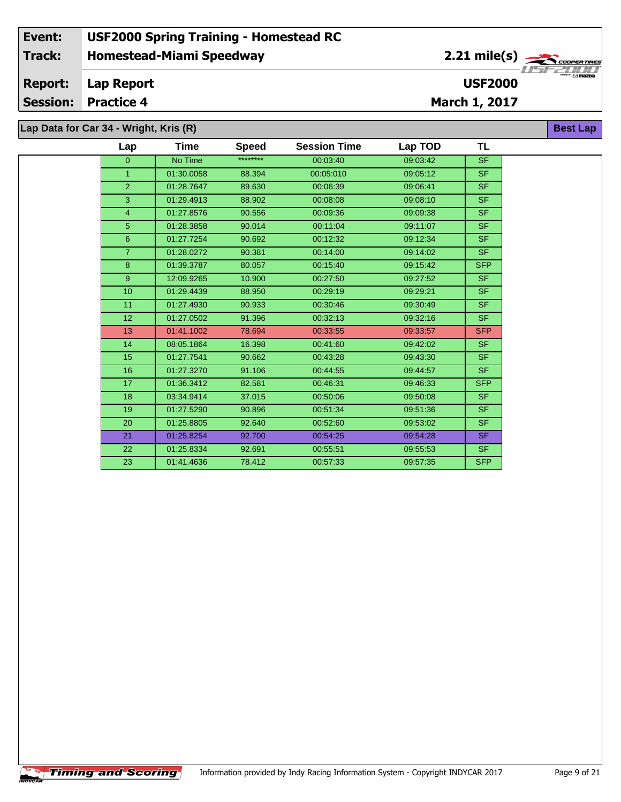| Lap Data for Car 34 - Wright, Kris (R) |  |  |  |  |
|----------------------------------------|--|--|--|--|
|----------------------------------------|--|--|--|--|

| Lap            | Time       | <b>Speed</b> | <b>Session Time</b> | Lap TOD  | <b>TL</b>  |
|----------------|------------|--------------|---------------------|----------|------------|
| $\overline{0}$ | No Time    | ********     | 00:03:40            | 09:03:42 | SF.        |
| $\mathbf{1}$   | 01:30.0058 | 88.394       | 00:05:010           | 09:05:12 | SF.        |
| $\overline{2}$ | 01:28.7647 | 89.630       | 00:06:39            | 09:06:41 | SF.        |
| 3              | 01:29.4913 | 88.902       | 00:08:08            | 09:08:10 | SF.        |
| $\overline{4}$ | 01:27.8576 | 90.556       | 00:09:36            | 09:09:38 | <b>SF</b>  |
| 5              | 01:28.3858 | 90.014       | 00:11:04            | 09:11:07 | SF.        |
| 6              | 01:27.7254 | 90.692       | 00:12:32            | 09:12:34 | SF.        |
| $\overline{7}$ | 01:28.0272 | 90.381       | 00:14:00            | 09:14:02 | SF.        |
| 8              | 01:39.3787 | 80.057       | 00:15:40            | 09:15:42 | <b>SFP</b> |
| 9              | 12:09.9265 | 10.900       | 00:27:50            | 09:27:52 | SF.        |
| 10             | 01:29.4439 | 88.950       | 00:29:19            | 09:29:21 | SF.        |
| 11             | 01:27.4930 | 90.933       | 00:30:46            | 09:30:49 | SF.        |
| 12             | 01:27.0502 | 91.396       | 00:32:13            | 09:32:16 | SF.        |
| 13             | 01:41.1002 | 78.694       | 00:33:55            | 09:33:57 | <b>SFP</b> |
| 14             | 08:05.1864 | 16.398       | 00:41:60            | 09:42:02 | SF.        |
| 15             | 01:27.7541 | 90.662       | 00:43:28            | 09:43:30 | <b>SF</b>  |
| 16             | 01:27.3270 | 91.106       | 00:44:55            | 09:44:57 | SF.        |
| 17             | 01:36.3412 | 82.581       | 00:46:31            | 09:46:33 | <b>SFP</b> |
| 18             | 03:34.9414 | 37.015       | 00:50:06            | 09:50:08 | SF.        |
| 19             | 01:27.5290 | 90.896       | 00:51:34            | 09:51:36 | SF.        |
| 20             | 01:25.8805 | 92.640       | 00:52:60            | 09:53:02 | SF.        |
| 21             | 01:25.8254 | 92.700       | 00:54:25            | 09:54:28 | SF.        |
| 22             | 01:25.8334 | 92.691       | 00:55:51            | 09:55:53 | SF.        |
| 23             | 01:41.4636 | 78.412       | 00:57:33            | 09:57:35 | <b>SFP</b> |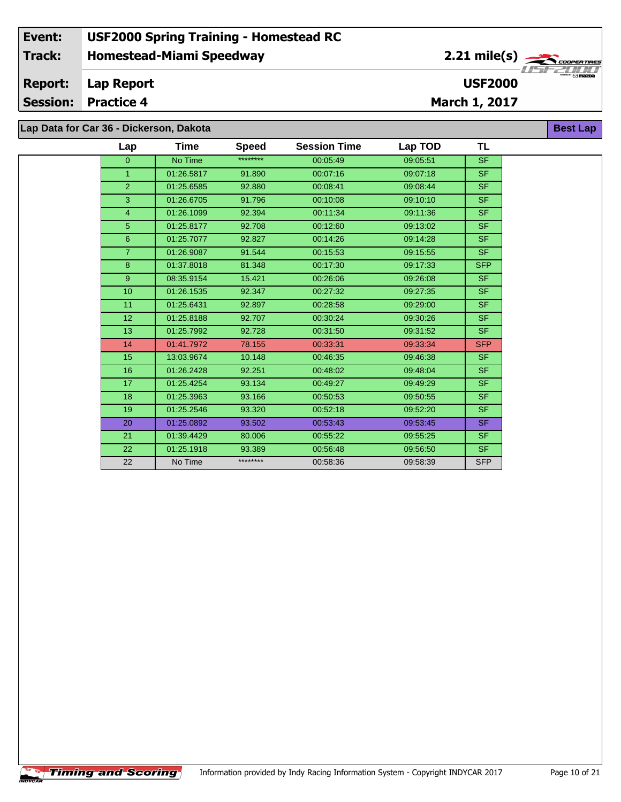# **Lap Data for Car 36 - Dickerson, Dakota**

| Lap             | Time       | <b>Speed</b> | <b>Session Time</b> | Lap TOD  | TL         |
|-----------------|------------|--------------|---------------------|----------|------------|
| $\overline{0}$  | No Time    | ********     | 00:05:49            | 09:05:51 | SF.        |
| $\mathbf{1}$    | 01:26.5817 | 91.890       | 00:07:16            | 09:07:18 | SF.        |
| $\overline{2}$  | 01:25.6585 | 92.880       | 00:08:41            | 09:08:44 | <b>SF</b>  |
| 3               | 01:26.6705 | 91.796       | 00:10:08            | 09:10:10 | SF.        |
| $\overline{4}$  | 01:26.1099 | 92.394       | 00:11:34            | 09:11:36 | <b>SF</b>  |
| $5\phantom{.}$  | 01:25.8177 | 92.708       | 00:12:60            | 09:13:02 | SF.        |
| $6\phantom{1}$  | 01:25.7077 | 92.827       | 00:14:26            | 09:14:28 | SF.        |
| $\overline{7}$  | 01:26.9087 | 91.544       | 00:15:53            | 09:15:55 | SF.        |
| 8               | 01:37.8018 | 81.348       | 00:17:30            | 09:17:33 | <b>SFP</b> |
| 9               | 08:35.9154 | 15.421       | 00:26:06            | 09:26:08 | SF.        |
| 10 <sup>1</sup> | 01:26.1535 | 92.347       | 00:27:32            | 09:27:35 | SF.        |
| 11              | 01:25.6431 | 92.897       | 00:28:58            | 09:29:00 | SF.        |
| 12              | 01:25.8188 | 92.707       | 00:30:24            | 09:30:26 | SF.        |
| 13              | 01:25.7992 | 92.728       | 00:31:50            | 09:31:52 | SF.        |
| 14              | 01:41.7972 | 78.155       | 00:33:31            | 09:33:34 | <b>SFP</b> |
| 15              | 13:03.9674 | 10.148       | 00:46:35            | 09:46:38 | SF.        |
| 16              | 01:26.2428 | 92.251       | 00:48:02            | 09:48:04 | SF.        |
| 17              | 01:25.4254 | 93.134       | 00:49:27            | 09:49:29 | SF.        |
| 18              | 01:25.3963 | 93.166       | 00:50:53            | 09:50:55 | SF.        |
| 19              | 01:25.2546 | 93.320       | 00:52:18            | 09:52:20 | SF.        |
| 20              | 01:25.0892 | 93.502       | 00:53:43            | 09:53:45 | <b>SF</b>  |
| 21              | 01:39.4429 | 80.006       | 00:55:22            | 09:55:25 | SF.        |
| 22              | 01:25.1918 | 93.389       | 00:56:48            | 09:56:50 | SF.        |
| 22              | No Time    | ********     | 00:58:36            | 09:58:39 | <b>SFP</b> |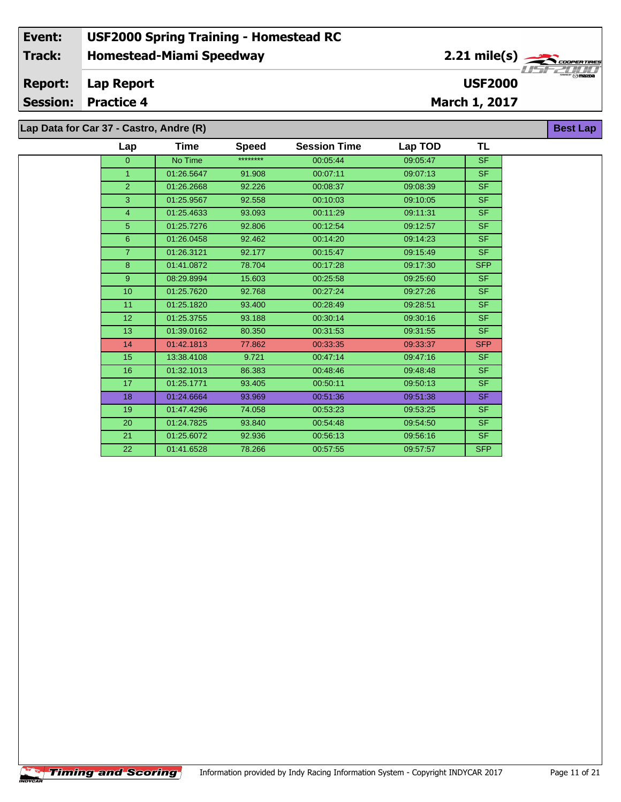**Lap Data for Car 37 - Castro, Andre (R)**

| Lap            | Time       | <b>Speed</b> | <b>Session Time</b> | Lap TOD  | TL                       |
|----------------|------------|--------------|---------------------|----------|--------------------------|
| $\overline{0}$ | No Time    | ********     | 00:05:44            | 09:05:47 | <b>SF</b>                |
| $\mathbf{1}$   | 01:26.5647 | 91.908       | 00:07:11            | 09:07:13 | SF.                      |
| $\overline{2}$ | 01:26.2668 | 92.226       | 00:08:37            | 09:08:39 | $\overline{\mathsf{SF}}$ |
| 3              | 01:25.9567 | 92.558       | 00:10:03            | 09:10:05 | <b>SF</b>                |
| $\overline{4}$ | 01:25.4633 | 93.093       | 00:11:29            | 09:11:31 | <b>SF</b>                |
| $\overline{5}$ | 01:25.7276 | 92.806       | 00:12:54            | 09:12:57 | <b>SF</b>                |
| $6\phantom{a}$ | 01:26.0458 | 92.462       | 00:14:20            | 09:14:23 | <b>SF</b>                |
| $\overline{7}$ | 01:26.3121 | 92.177       | 00:15:47            | 09:15:49 | SF.                      |
| 8              | 01:41.0872 | 78.704       | 00:17:28            | 09:17:30 | <b>SFP</b>               |
| 9              | 08:29.8994 | 15.603       | 00:25:58            | 09:25:60 | <b>SF</b>                |
| 10             | 01:25.7620 | 92.768       | 00:27:24            | 09:27:26 | <b>SF</b>                |
| 11             | 01:25.1820 | 93.400       | 00:28:49            | 09:28:51 | <b>SF</b>                |
| 12             | 01:25.3755 | 93.188       | 00:30:14            | 09:30:16 | <b>SF</b>                |
| 13             | 01:39.0162 | 80.350       | 00:31:53            | 09:31:55 | <b>SF</b>                |
| 14             | 01:42.1813 | 77.862       | 00:33:35            | 09:33:37 | <b>SFP</b>               |
| 15             | 13:38.4108 | 9.721        | 00:47:14            | 09:47:16 | SF.                      |
| 16             | 01:32.1013 | 86.383       | 00:48:46            | 09:48:48 | <b>SF</b>                |
| 17             | 01:25.1771 | 93.405       | 00:50:11            | 09:50:13 | SF.                      |
| 18             | 01:24.6664 | 93.969       | 00:51:36            | 09:51:38 | SF.                      |
| 19             | 01:47.4296 | 74.058       | 00:53:23            | 09:53:25 | <b>SF</b>                |
| 20             | 01:24.7825 | 93.840       | 00:54:48            | 09:54:50 | SF.                      |
| 21             | 01:25.6072 | 92.936       | 00:56:13            | 09:56:16 | <b>SF</b>                |
| 22             | 01:41.6528 | 78.266       | 00:57:55            | 09:57:57 | <b>SFP</b>               |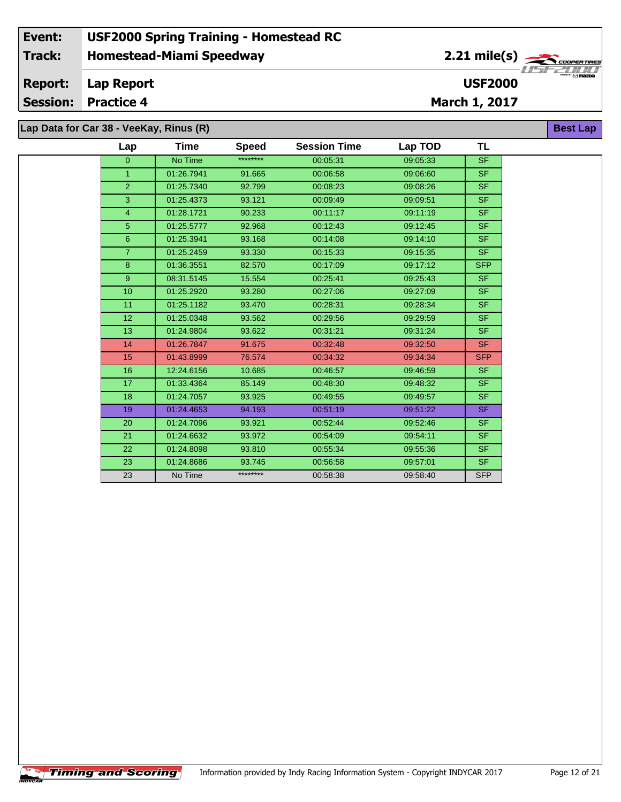#### **Event: USF2000 Spring Training - Homestead RC 2.21 mile(s) Track: Homestead-Miami Speedway** .<br>COOPERTIRE *OOPER TRE*<br>Maxba<br>Maxba **Report: Lap Report USF2000 Session: Practice 4 March 1, 2017 Lap Data for Car 38 - VeeKay, Rinus (R) Best Lap**

| Lap             | Time       | <b>Speed</b> | <b>Session Time</b> | Lap TOD  | <b>TL</b>  |
|-----------------|------------|--------------|---------------------|----------|------------|
| $\overline{0}$  | No Time    | ********     | 00:05:31            | 09:05:33 | <b>SF</b>  |
| $\mathbf{1}$    | 01:26.7941 | 91.665       | 00:06:58            | 09:06:60 | <b>SF</b>  |
| $\overline{2}$  | 01:25.7340 | 92.799       | 00:08:23            | 09:08:26 | <b>SF</b>  |
| 3               | 01:25.4373 | 93.121       | 00:09:49            | 09:09:51 | <b>SF</b>  |
| $\overline{4}$  | 01:28.1721 | 90.233       | 00:11:17            | 09:11:19 | <b>SF</b>  |
| 5               | 01:25.5777 | 92.968       | 00:12:43            | 09:12:45 | <b>SF</b>  |
| 6               | 01:25.3941 | 93.168       | 00:14:08            | 09:14:10 | <b>SF</b>  |
| $\overline{7}$  | 01:25.2459 | 93.330       | 00:15:33            | 09:15:35 | <b>SF</b>  |
| 8               | 01:36.3551 | 82.570       | 00:17:09            | 09:17:12 | <b>SFP</b> |
| 9 <sup>°</sup>  | 08:31.5145 | 15.554       | 00:25:41            | 09:25:43 | <b>SF</b>  |
| 10 <sup>1</sup> | 01:25.2920 | 93.280       | 00:27:06            | 09:27:09 | <b>SF</b>  |
| 11              | 01:25.1182 | 93.470       | 00:28:31            | 09:28:34 | <b>SF</b>  |
| 12              | 01:25.0348 | 93.562       | 00:29:56            | 09:29:59 | <b>SF</b>  |
| 13              | 01:24.9804 | 93.622       | 00:31:21            | 09:31:24 | <b>SF</b>  |
| 14              | 01:26.7847 | 91.675       | 00:32:48            | 09:32:50 | <b>SF</b>  |
| 15              | 01:43.8999 | 76.574       | 00:34:32            | 09:34:34 | <b>SFP</b> |
| 16              | 12:24.6156 | 10.685       | 00:46:57            | 09:46:59 | <b>SF</b>  |
| 17              | 01:33.4364 | 85.149       | 00:48:30            | 09:48:32 | <b>SF</b>  |
| 18              | 01:24.7057 | 93.925       | 00:49:55            | 09:49:57 | <b>SF</b>  |
| 19              | 01:24.4653 | 94.193       | 00:51:19            | 09:51:22 | <b>SF</b>  |
| 20              | 01:24.7096 | 93.921       | 00:52:44            | 09:52:46 | <b>SF</b>  |
| 21              | 01:24.6632 | 93.972       | 00:54:09            | 09:54:11 | <b>SF</b>  |
| 22              | 01:24.8098 | 93.810       | 00:55:34            | 09:55:36 | <b>SF</b>  |
| 23              | 01:24.8686 | 93.745       | 00:56:58            | 09:57:01 | <b>SF</b>  |
| 23              | No Time    | ********     | 00:58:38            | 09:58:40 | <b>SFP</b> |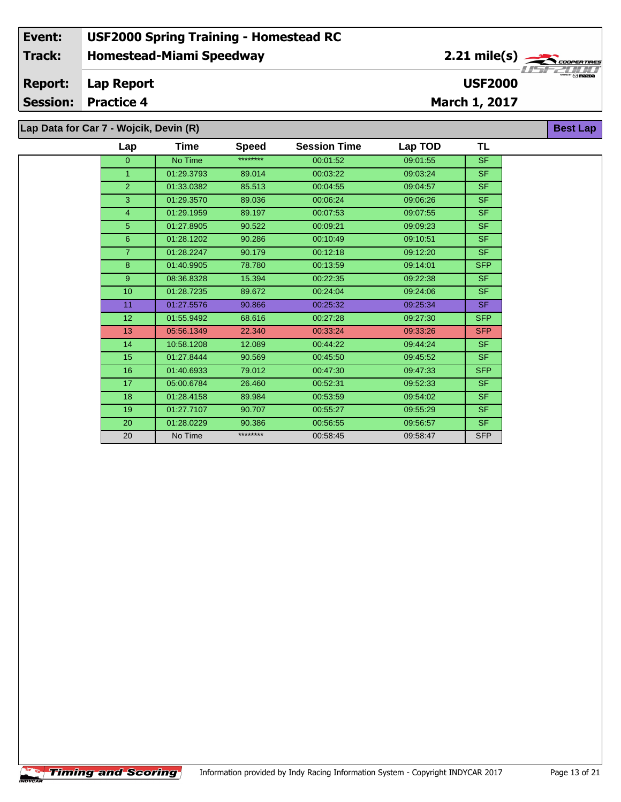**Lap Data for Car 7 - Wojcik, Devin (R)**

| Lap            | <b>Time</b> | <b>Speed</b> | <b>Session Time</b> | Lap TOD  | TL         |
|----------------|-------------|--------------|---------------------|----------|------------|
| $\overline{0}$ | No Time     | ********     | 00:01:52            | 09:01:55 | <b>SF</b>  |
| $\mathbf{1}$   | 01:29.3793  | 89.014       | 00:03:22            | 09:03:24 | <b>SF</b>  |
| $\overline{2}$ | 01:33.0382  | 85.513       | 00:04:55            | 09:04:57 | SF.        |
| 3              | 01:29.3570  | 89.036       | 00:06:24            | 09:06:26 | <b>SF</b>  |
| 4              | 01:29.1959  | 89.197       | 00:07:53            | 09:07:55 | <b>SF</b>  |
| 5              | 01:27.8905  | 90.522       | 00:09:21            | 09:09:23 | <b>SF</b>  |
| 6              | 01:28.1202  | 90.286       | 00:10:49            | 09:10:51 | <b>SF</b>  |
| $\overline{7}$ | 01:28.2247  | 90.179       | 00:12:18            | 09:12:20 | <b>SF</b>  |
| 8              | 01:40.9905  | 78.780       | 00:13:59            | 09:14:01 | <b>SFP</b> |
| 9              | 08:36.8328  | 15.394       | 00:22:35            | 09:22:38 | SF.        |
| 10             | 01:28.7235  | 89.672       | 00:24:04            | 09:24:06 | <b>SF</b>  |
| 11             | 01:27.5576  | 90.866       | 00:25:32            | 09:25:34 | <b>SF</b>  |
| 12             | 01:55.9492  | 68.616       | 00:27:28            | 09:27:30 | <b>SFP</b> |
| 13             | 05:56.1349  | 22.340       | 00:33:24            | 09:33:26 | <b>SFP</b> |
| 14             | 10:58.1208  | 12.089       | 00:44:22            | 09:44:24 | <b>SF</b>  |
| 15             | 01:27.8444  | 90.569       | 00:45:50            | 09:45:52 | <b>SF</b>  |
| 16             | 01:40.6933  | 79.012       | 00:47:30            | 09:47:33 | <b>SFP</b> |
| 17             | 05:00.6784  | 26.460       | 00:52:31            | 09:52:33 | <b>SF</b>  |
| 18             | 01:28.4158  | 89.984       | 00:53:59            | 09:54:02 | <b>SF</b>  |
| 19             | 01:27.7107  | 90.707       | 00:55:27            | 09:55:29 | <b>SF</b>  |
| 20             | 01:28.0229  | 90.386       | 00:56:55            | 09:56:57 | <b>SF</b>  |
| 20             | No Time     | ********     | 00:58:45            | 09:58:47 | <b>SFP</b> |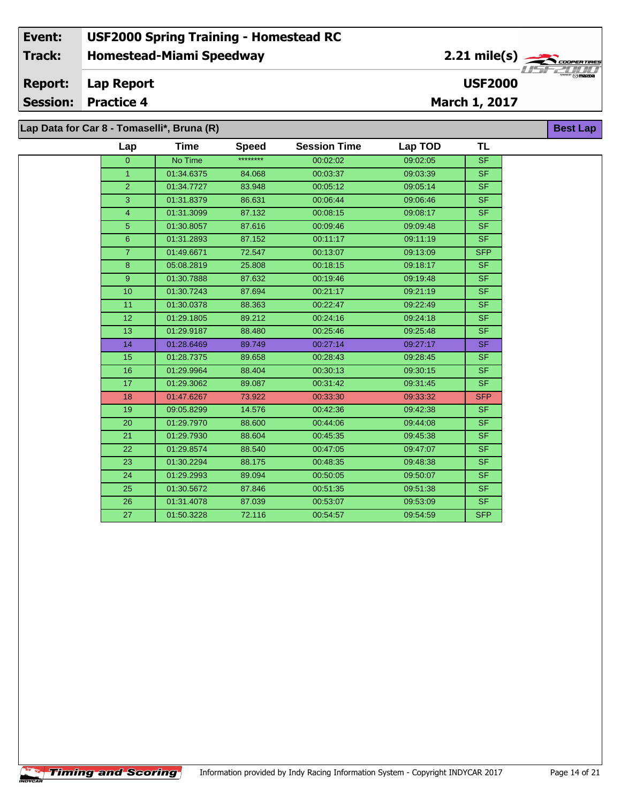### **Homestead-Miami Speedway Lap Report March 1, 2017 Event: USF2000 Spring Training - Homestead RC Track: Report: Session: Practice 4 USF2000** 2.21 mile(s) **Best Lap Lap Data for Car 8 - Tomaselli\*, Bruna (R)**

| Lap            | <b>Time</b> | <b>Speed</b> | <b>Session Time</b> | Lap TOD  | <b>TL</b>  |
|----------------|-------------|--------------|---------------------|----------|------------|
| $\overline{0}$ | No Time     | ********     | 00:02:02            | 09:02:05 | <b>SF</b>  |
| $\mathbf{1}$   | 01:34.6375  | 84.068       | 00:03:37            | 09:03:39 | <b>SF</b>  |
| $\overline{2}$ | 01:34.7727  | 83.948       | 00:05:12            | 09:05:14 | <b>SF</b>  |
| 3              | 01:31.8379  | 86.631       | 00:06:44            | 09:06:46 | <b>SF</b>  |
| 4              | 01:31.3099  | 87.132       | 00:08:15            | 09:08:17 | SF.        |
| 5              | 01:30.8057  | 87.616       | 00:09:46            | 09:09:48 | <b>SF</b>  |
| 6              | 01:31.2893  | 87.152       | 00:11:17            | 09:11:19 | <b>SF</b>  |
| $\overline{7}$ | 01:49.6671  | 72.547       | 00:13:07            | 09:13:09 | <b>SFP</b> |
| 8              | 05:08.2819  | 25.808       | 00:18:15            | 09:18:17 | <b>SF</b>  |
| 9              | 01:30.7888  | 87.632       | 00:19:46            | 09:19:48 | <b>SF</b>  |
| 10             | 01:30.7243  | 87.694       | 00:21:17            | 09:21:19 | SF.        |
| 11             | 01:30.0378  | 88.363       | 00:22:47            | 09:22:49 | <b>SF</b>  |
| 12             | 01:29.1805  | 89.212       | 00:24:16            | 09:24:18 | SF.        |
| 13             | 01:29.9187  | 88.480       | 00:25:46            | 09:25:48 | <b>SF</b>  |
| 14             | 01:28.6469  | 89.749       | 00:27:14            | 09:27:17 | SF.        |
| 15             | 01:28.7375  | 89.658       | 00:28:43            | 09:28:45 | <b>SF</b>  |
| 16             | 01:29.9964  | 88.404       | 00:30:13            | 09:30:15 | <b>SF</b>  |
| 17             | 01:29.3062  | 89.087       | 00:31:42            | 09:31:45 | <b>SF</b>  |
| 18             | 01:47.6267  | 73.922       | 00:33:30            | 09:33:32 | <b>SFP</b> |
| 19             | 09:05.8299  | 14.576       | 00:42:36            | 09:42:38 | SF.        |
| 20             | 01:29.7970  | 88.600       | 00:44:06            | 09:44:08 | SF.        |
| 21             | 01:29.7930  | 88.604       | 00:45:35            | 09:45:38 | SF.        |
| 22             | 01:29.8574  | 88.540       | 00:47:05            | 09:47:07 | <b>SF</b>  |
| 23             | 01:30.2294  | 88.175       | 00:48:35            | 09:48:38 | <b>SF</b>  |
| 24             | 01:29.2993  | 89.094       | 00:50:05            | 09:50:07 | SF.        |
| 25             | 01:30.5672  | 87.846       | 00:51:35            | 09:51:38 | <b>SF</b>  |
| 26             | 01:31.4078  | 87.039       | 00:53:07            | 09:53:09 | SF.        |
| 27             | 01:50.3228  | 72.116       | 00:54:57            | 09:54:59 | <b>SFP</b> |
|                |             |              |                     |          |            |

**Timing and Scoring**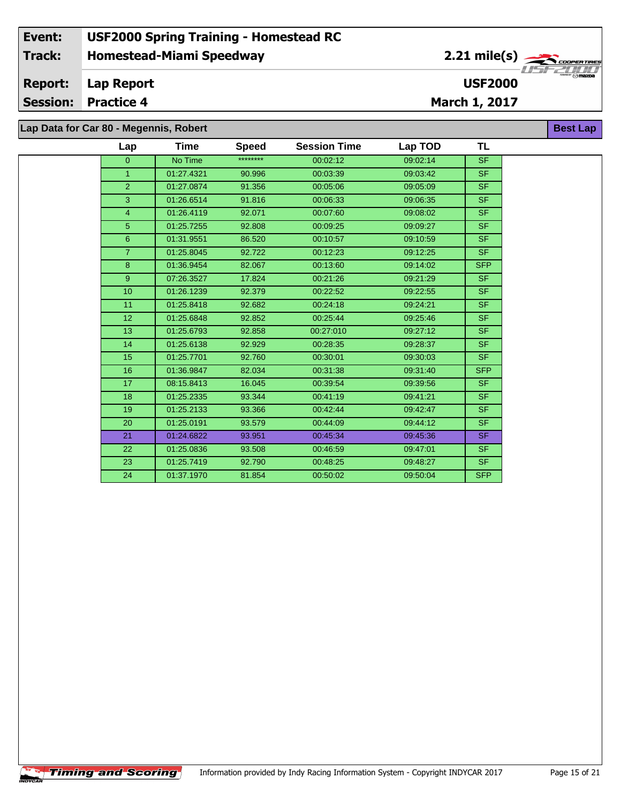| Lap             | Time       | <b>Speed</b> | <b>Session Time</b> | Lap TOD  | <b>TL</b>  |
|-----------------|------------|--------------|---------------------|----------|------------|
| $\overline{0}$  | No Time    | ********     | 00:02:12            | 09:02:14 | <b>SF</b>  |
| 1.              | 01:27.4321 | 90.996       | 00:03:39            | 09:03:42 | <b>SF</b>  |
| $\overline{2}$  | 01:27.0874 | 91.356       | 00:05:06            | 09:05:09 | <b>SF</b>  |
| 3               | 01:26.6514 | 91.816       | 00:06:33            | 09:06:35 | <b>SF</b>  |
| $\overline{4}$  | 01:26.4119 | 92.071       | 00:07:60            | 09:08:02 | <b>SF</b>  |
| 5 <sup>5</sup>  | 01:25.7255 | 92.808       | 00:09:25            | 09:09:27 | SF.        |
| 6               | 01:31.9551 | 86.520       | 00:10:57            | 09:10:59 | <b>SF</b>  |
| $\overline{7}$  | 01:25.8045 | 92.722       | 00:12:23            | 09:12:25 | <b>SF</b>  |
| 8               | 01:36.9454 | 82.067       | 00:13:60            | 09:14:02 | <b>SFP</b> |
| 9 <sup>°</sup>  | 07:26.3527 | 17.824       | 00:21:26            | 09:21:29 | <b>SF</b>  |
| 10 <sup>1</sup> | 01:26.1239 | 92.379       | 00:22:52            | 09:22:55 | <b>SF</b>  |
| 11              | 01:25.8418 | 92.682       | 00:24:18            | 09:24:21 | <b>SF</b>  |
| 12              | 01:25.6848 | 92.852       | 00:25:44            | 09:25:46 | <b>SF</b>  |
| 13              | 01:25.6793 | 92.858       | 00:27:010           | 09:27:12 | <b>SF</b>  |
| 14              | 01:25.6138 | 92.929       | 00:28:35            | 09:28:37 | SF.        |
| 15              | 01:25.7701 | 92.760       | 00:30:01            | 09:30:03 | <b>SF</b>  |
| 16              | 01:36.9847 | 82.034       | 00:31:38            | 09:31:40 | <b>SFP</b> |
| 17              | 08:15.8413 | 16.045       | 00:39:54            | 09:39:56 | <b>SF</b>  |
| 18              | 01:25.2335 | 93.344       | 00:41:19            | 09:41:21 | SF.        |
| 19              | 01:25.2133 | 93.366       | 00:42:44            | 09:42:47 | <b>SF</b>  |
| 20              | 01:25.0191 | 93.579       | 00:44:09            | 09:44:12 | <b>SF</b>  |
| 21              | 01:24.6822 | 93.951       | 00:45:34            | 09:45:36 | <b>SF</b>  |
| 22              | 01:25.0836 | 93.508       | 00:46:59            | 09:47:01 | <b>SF</b>  |
| 23              | 01:25.7419 | 92.790       | 00:48:25            | 09:48:27 | SF.        |
| 24              | 01:37.1970 | 81.854       | 00:50:02            | 09:50:04 | <b>SFP</b> |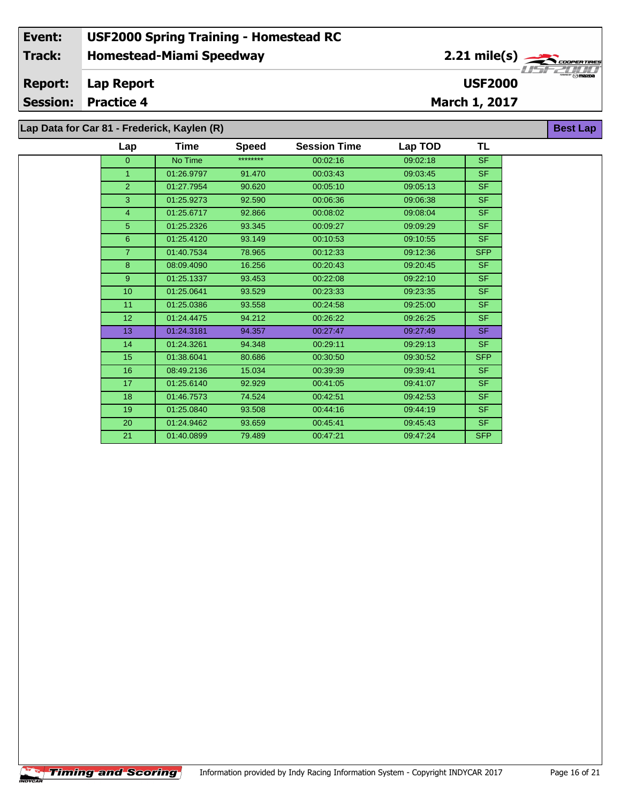**TL**

| Lap Data for Car 81 - Frederick, Kaylen (R) |     |      |       |  |
|---------------------------------------------|-----|------|-------|--|
|                                             | Lap | Time | Speed |  |

| Lap             | Time       | <b>Speed</b> | <b>Session Time</b> | Lap TOD  | TL         |
|-----------------|------------|--------------|---------------------|----------|------------|
| $\overline{0}$  | No Time    | ********     | 00:02:16            | 09:02:18 | <b>SF</b>  |
| 1               | 01:26.9797 | 91.470       | 00:03:43            | 09:03:45 | SF.        |
| $\overline{2}$  | 01:27.7954 | 90.620       | 00:05:10            | 09:05:13 | SF.        |
| 3               | 01:25.9273 | 92.590       | 00:06:36            | 09:06:38 | SF.        |
| 4               | 01:25.6717 | 92.866       | 00:08:02            | 09:08:04 | SF.        |
| 5               | 01:25.2326 | 93.345       | 00:09:27            | 09:09:29 | SF.        |
| $6\phantom{1}$  | 01:25.4120 | 93.149       | 00:10:53            | 09:10:55 | SF.        |
| $\overline{7}$  | 01:40.7534 | 78.965       | 00:12:33            | 09:12:36 | <b>SFP</b> |
| 8               | 08:09.4090 | 16.256       | 00:20:43            | 09:20:45 | SF.        |
| $9^{\circ}$     | 01:25.1337 | 93.453       | 00:22:08            | 09:22:10 | SF.        |
| 10              | 01:25.0641 | 93.529       | 00:23:33            | 09:23:35 | SF.        |
| 11              | 01:25.0386 | 93.558       | 00:24:58            | 09:25:00 | SF.        |
| 12 <sup>2</sup> | 01:24.4475 | 94.212       | 00:26:22            | 09:26:25 | <b>SF</b>  |
| 13              | 01:24.3181 | 94.357       | 00:27:47            | 09:27:49 | <b>SF</b>  |
| 14              | 01:24.3261 | 94.348       | 00:29:11            | 09:29:13 | SF.        |
| 15              | 01:38.6041 | 80.686       | 00:30:50            | 09:30:52 | <b>SFP</b> |
| 16              | 08:49.2136 | 15.034       | 00:39:39            | 09:39:41 | SF.        |
| 17              | 01:25.6140 | 92.929       | 00:41:05            | 09:41:07 | SF.        |
| 18              | 01:46.7573 | 74.524       | 00:42:51            | 09:42:53 | SF.        |
| 19              | 01:25.0840 | 93.508       | 00:44:16            | 09:44:19 | SF.        |
| 20              | 01:24.9462 | 93.659       | 00:45:41            | 09:45:43 | SF.        |
| 21              | 01:40.0899 | 79.489       | 00:47:21            | 09:47:24 | <b>SFP</b> |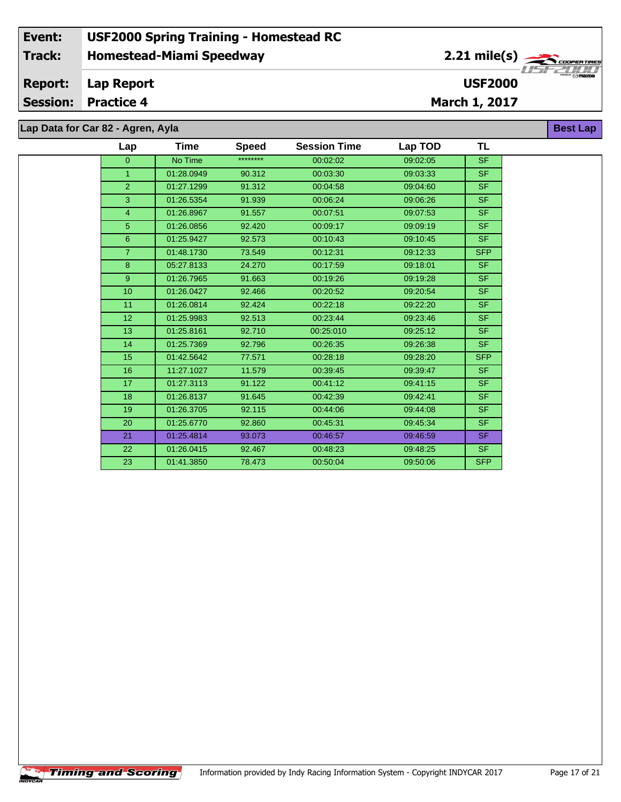# **Lap Data for Car 82 - Agren, Ayla**

÷.

| Lap             | Time       | <b>Speed</b> | <b>Session Time</b> | Lap TOD  | <b>TL</b>                |
|-----------------|------------|--------------|---------------------|----------|--------------------------|
| $\overline{0}$  | No Time    | ********     | 00:02:02            | 09:02:05 | <b>SF</b>                |
| $\mathbf{1}$    | 01:28.0949 | 90.312       | 00:03:30            | 09:03:33 | <b>SF</b>                |
| 2 <sup>1</sup>  | 01:27.1299 | 91.312       | 00:04:58            | 09:04:60 | <b>SF</b>                |
| 3               | 01:26.5354 | 91.939       | 00:06:24            | 09:06:26 | <b>SF</b>                |
| $\overline{4}$  | 01:26.8967 | 91.557       | 00:07:51            | 09:07:53 | SF.                      |
| 5 <sup>5</sup>  | 01:26.0856 | 92.420       | 00:09:17            | 09:09:19 | SF.                      |
| 6               | 01:25.9427 | 92.573       | 00:10:43            | 09:10:45 | SF.                      |
| $\overline{7}$  | 01:48.1730 | 73.549       | 00:12:31            | 09:12:33 | <b>SFP</b>               |
| 8               | 05:27.8133 | 24.270       | 00:17:59            | 09:18:01 | <b>SF</b>                |
| 9 <sup>°</sup>  | 01:26.7965 | 91.663       | 00:19:26            | 09:19:28 | SF.                      |
| 10 <sup>1</sup> | 01:26.0427 | 92.466       | 00:20:52            | 09:20:54 | <b>SF</b>                |
| 11              | 01:26.0814 | 92.424       | 00:22:18            | 09:22:20 | <b>SF</b>                |
| 12              | 01:25.9983 | 92.513       | 00:23:44            | 09:23:46 | SF.                      |
| 13              | 01:25.8161 | 92.710       | 00:25:010           | 09:25:12 | $\overline{\mathsf{SF}}$ |
| 14              | 01:25.7369 | 92.796       | 00:26:35            | 09:26:38 | SF                       |
| 15              | 01:42.5642 | 77.571       | 00:28:18            | 09:28:20 | <b>SFP</b>               |
| 16              | 11:27.1027 | 11.579       | 00:39:45            | 09:39:47 | SF.                      |
| 17              | 01:27.3113 | 91.122       | 00:41:12            | 09:41:15 | SF.                      |
| 18              | 01:26.8137 | 91.645       | 00:42:39            | 09:42:41 | <b>SF</b>                |
| 19              | 01:26.3705 | 92.115       | 00:44:06            | 09:44:08 | <b>SF</b>                |
| 20              | 01:25.6770 | 92.860       | 00:45:31            | 09:45:34 | SF.                      |
| 21              | 01:25.4814 | 93.073       | 00:46:57            | 09:46:59 | SF.                      |
| 22              | 01:26.0415 | 92.467       | 00:48:23            | 09:48:25 | SF.                      |
| 23              | 01:41.3850 | 78.473       | 00:50:04            | 09:50:06 | <b>SFP</b>               |

**Best Lap**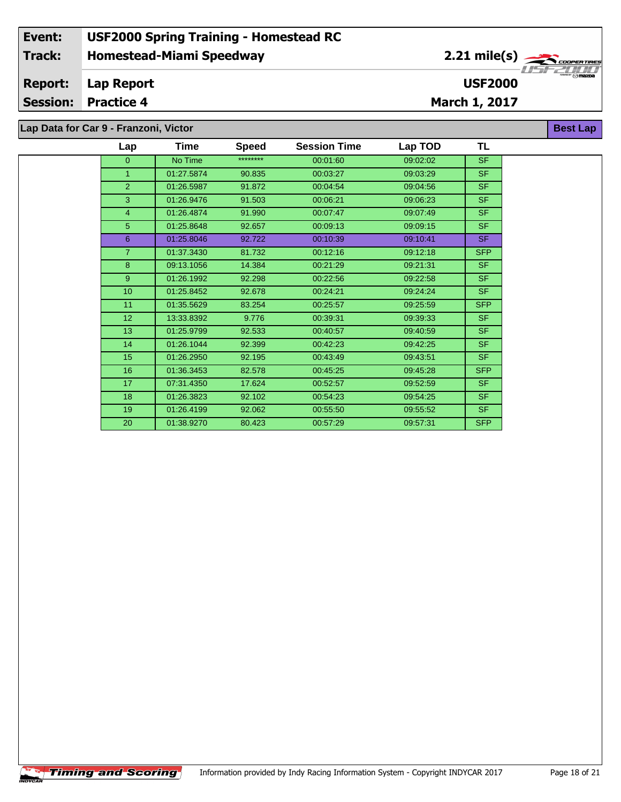**Lap Data for Car 9 - Franzoni, Victor**

| Lap            | Time       | <b>Speed</b> | <b>Session Time</b> | Lap TOD  | TL         |
|----------------|------------|--------------|---------------------|----------|------------|
| $\mathbf{0}$   | No Time    | ********     | 00:01:60            | 09:02:02 | <b>SF</b>  |
| 1              | 01:27.5874 | 90.835       | 00:03:27            | 09:03:29 | <b>SF</b>  |
| 2              | 01:26.5987 | 91.872       | 00:04:54            | 09:04:56 | <b>SF</b>  |
| 3              | 01:26.9476 | 91.503       | 00:06:21            | 09:06:23 | <b>SF</b>  |
| 4              | 01:26.4874 | 91.990       | 00:07:47            | 09:07:49 | <b>SF</b>  |
| 5              | 01:25.8648 | 92.657       | 00:09:13            | 09:09:15 | <b>SF</b>  |
| 6              | 01:25.8046 | 92.722       | 00:10:39            | 09:10:41 | <b>SF</b>  |
| $\overline{7}$ | 01:37.3430 | 81.732       | 00:12:16            | 09:12:18 | <b>SFP</b> |
| 8              | 09:13.1056 | 14.384       | 00:21:29            | 09:21:31 | <b>SF</b>  |
| 9              | 01:26.1992 | 92.298       | 00:22:56            | 09:22:58 | <b>SF</b>  |
| 10             | 01:25.8452 | 92.678       | 00:24:21            | 09:24:24 | <b>SF</b>  |
| 11             | 01:35.5629 | 83.254       | 00:25:57            | 09:25:59 | <b>SFP</b> |
| 12             | 13:33.8392 | 9.776        | 00:39:31            | 09:39:33 | <b>SF</b>  |
| 13             | 01:25.9799 | 92.533       | 00:40:57            | 09:40:59 | <b>SF</b>  |
| 14             | 01:26.1044 | 92.399       | 00:42:23            | 09:42:25 | <b>SF</b>  |
| 15             | 01:26.2950 | 92.195       | 00:43:49            | 09:43:51 | <b>SF</b>  |
| 16             | 01:36.3453 | 82.578       | 00:45:25            | 09:45:28 | <b>SFP</b> |
| 17             | 07:31.4350 | 17.624       | 00:52:57            | 09:52:59 | <b>SF</b>  |
| 18             | 01:26.3823 | 92.102       | 00:54:23            | 09:54:25 | <b>SF</b>  |
| 19             | 01:26.4199 | 92.062       | 00:55:50            | 09:55:52 | <b>SF</b>  |
| 20             | 01:38.9270 | 80.423       | 00:57:29            | 09:57:31 | <b>SFP</b> |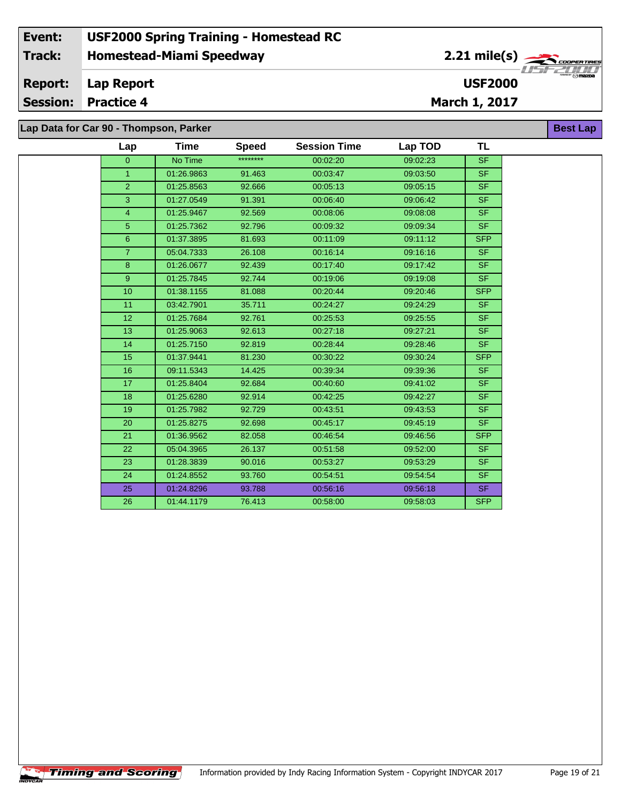#### **Event: USF2000 Spring Training - Homestead RC 2.21 mile(s) Track: Homestead-Miami Speedway** .<br>COOPERTIRE **Report: Lap Report USF2000 Session: Practice 4 March 1, 2017 Best Lap Lap Data for Car 90 - Thompson, Parker**

| ap Bala for Sar Jo - Hiompson, Fanci |                 |             |              |                     |          |            |  |
|--------------------------------------|-----------------|-------------|--------------|---------------------|----------|------------|--|
|                                      | Lap             | <b>Time</b> | <b>Speed</b> | <b>Session Time</b> | Lap TOD  | TL         |  |
|                                      | $\overline{0}$  | No Time     | ********     | 00:02:20            | 09:02:23 | <b>SF</b>  |  |
|                                      | $\mathbf{1}$    | 01:26.9863  | 91.463       | 00:03:47            | 09:03:50 | <b>SF</b>  |  |
|                                      | 2 <sup>1</sup>  | 01:25.8563  | 92.666       | 00:05:13            | 09:05:15 | <b>SF</b>  |  |
|                                      | 3               | 01:27.0549  | 91.391       | 00:06:40            | 09:06:42 | <b>SF</b>  |  |
|                                      | $\overline{4}$  | 01:25.9467  | 92.569       | 00:08:06            | 09:08:08 | <b>SF</b>  |  |
|                                      | 5 <sup>5</sup>  | 01:25.7362  | 92.796       | 00:09:32            | 09:09:34 | <b>SF</b>  |  |
|                                      | 6               | 01:37.3895  | 81.693       | 00:11:09            | 09:11:12 | <b>SFP</b> |  |
|                                      | $\overline{7}$  | 05:04.7333  | 26.108       | 00:16:14            | 09:16:16 | <b>SF</b>  |  |
|                                      | 8               | 01:26.0677  | 92.439       | 00:17:40            | 09:17:42 | <b>SF</b>  |  |
|                                      | 9 <sup>°</sup>  | 01:25.7845  | 92.744       | 00:19:06            | 09:19:08 | SF.        |  |
|                                      | 10              | 01:38.1155  | 81.088       | 00:20:44            | 09:20:46 | <b>SFP</b> |  |
|                                      | 11              | 03:42.7901  | 35.711       | 00:24:27            | 09:24:29 | <b>SF</b>  |  |
|                                      | 12 <sup>°</sup> | 01:25.7684  | 92.761       | 00:25:53            | 09:25:55 | SF.        |  |
|                                      | 13 <sup>°</sup> | 01:25.9063  | 92.613       | 00:27:18            | 09:27:21 | <b>SF</b>  |  |
|                                      | 14              | 01:25.7150  | 92.819       | 00:28:44            | 09:28:46 | SF.        |  |
|                                      | 15              | 01:37.9441  | 81.230       | 00:30:22            | 09:30:24 | SFP        |  |
|                                      | 16              | 09:11.5343  | 14.425       | 00:39:34            | 09:39:36 | <b>SF</b>  |  |
|                                      | 17              | 01:25.8404  | 92.684       | 00:40:60            | 09:41:02 | <b>SF</b>  |  |
|                                      | 18              | 01:25.6280  | 92.914       | 00:42:25            | 09:42:27 | <b>SF</b>  |  |
|                                      | 19              | 01:25.7982  | 92.729       | 00:43:51            | 09:43:53 | SF.        |  |
|                                      | 20              | 01:25.8275  | 92.698       | 00:45:17            | 09:45:19 | SF.        |  |
|                                      | 21              | 01:36.9562  | 82.058       | 00:46:54            | 09:46:56 | <b>SFP</b> |  |
|                                      | 22              | 05:04.3965  | 26.137       | 00:51:58            | 09:52:00 | <b>SF</b>  |  |
|                                      | 23              | 01:28.3839  | 90.016       | 00:53:27            | 09:53:29 | <b>SF</b>  |  |
|                                      | 24              | 01:24.8552  | 93.760       | 00:54:51            | 09:54:54 | SF.        |  |
|                                      | 25              | 01:24.8296  | 93.788       | 00:56:16            | 09:56:18 | <b>SF</b>  |  |
|                                      | 26              | 01:44.1179  | 76.413       | 00:58:00            | 09:58:03 | <b>SFP</b> |  |
|                                      |                 |             |              |                     |          |            |  |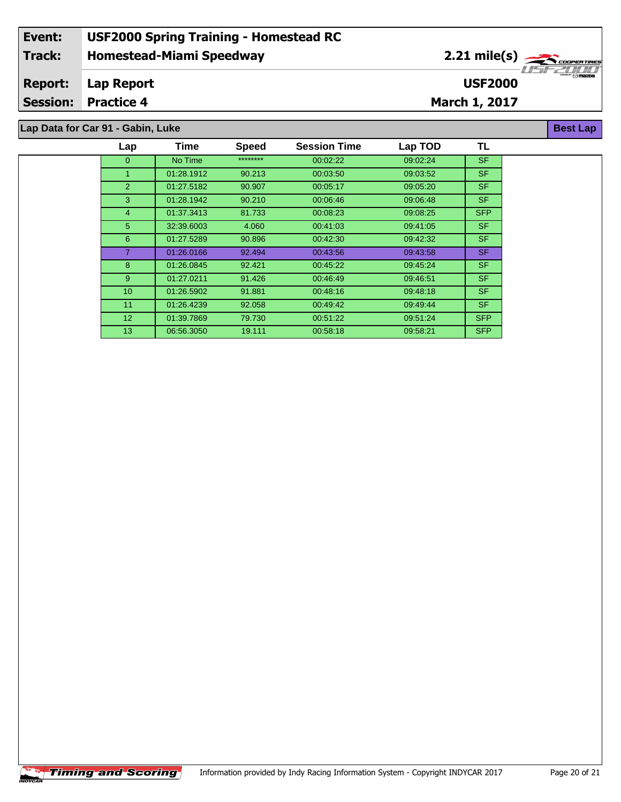### **Event: USF2000 Spring Training - Homestead RC 2.21 mile(s) Track: Homestead-Miami Speedway** COOPERTIRE *CODPER TIRE*<br> $\frac{1}{2}$  / 1 / 1 / 1<br>Omazoa **Report: Lap Report USF2000 Session: Practice 4 March 1, 2017 Best Lap**

| Lap Data for Car 91 - Gabin, Luke |                 |             |              |                     |          |            |  |  |  |  |
|-----------------------------------|-----------------|-------------|--------------|---------------------|----------|------------|--|--|--|--|
|                                   | Lap             | <b>Time</b> | <b>Speed</b> | <b>Session Time</b> | Lap TOD  | <b>TL</b>  |  |  |  |  |
|                                   | $\overline{0}$  | No Time     | ********     | 00:02:22            | 09:02:24 | <b>SF</b>  |  |  |  |  |
|                                   |                 | 01:28.1912  | 90.213       | 00:03:50            | 09:03:52 | SF.        |  |  |  |  |
|                                   | $\overline{2}$  | 01:27.5182  | 90.907       | 00:05:17            | 09:05:20 | SF.        |  |  |  |  |
|                                   | 3               | 01:28.1942  | 90.210       | 00:06:46            | 09:06:48 | SF.        |  |  |  |  |
|                                   | 4               | 01:37.3413  | 81.733       | 00:08:23            | 09:08:25 | <b>SFP</b> |  |  |  |  |
|                                   | 5 <sup>5</sup>  | 32:39.6003  | 4.060        | 00:41:03            | 09:41:05 | SF.        |  |  |  |  |
|                                   | 6               | 01:27.5289  | 90.896       | 00:42:30            | 09:42:32 | SF.        |  |  |  |  |
|                                   |                 | 01:26.0166  | 92.494       | 00:43:56            | 09:43:58 | SF.        |  |  |  |  |
|                                   | 8               | 01:26.0845  | 92.421       | 00:45:22            | 09:45:24 | SF.        |  |  |  |  |
|                                   | 9               | 01:27.0211  | 91.426       | 00:46:49            | 09:46:51 | SF.        |  |  |  |  |
|                                   | 10 <sup>°</sup> | 01:26.5902  | 91.881       | 00:48:16            | 09:48:18 | SF.        |  |  |  |  |
|                                   | 11              | 01:26.4239  | 92.058       | 00:49:42            | 09:49:44 | SF.        |  |  |  |  |
|                                   | 12 <sup>2</sup> | 01:39.7869  | 79.730       | 00:51:22            | 09:51:24 | SFP        |  |  |  |  |
|                                   | 13              | 06:56.3050  | 19.111       | 00:58:18            | 09:58:21 | <b>SFP</b> |  |  |  |  |